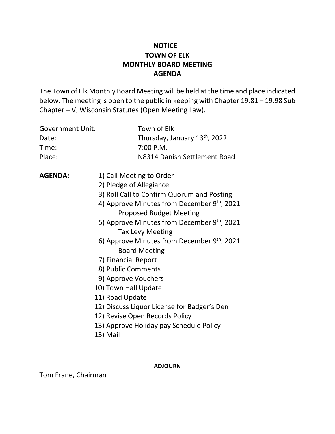# **NOTICE TOWN OF ELK MONTHLY BOARD MEETING AGENDA**

The Town of Elk Monthly Board Meeting will be held at the time and place indicated below. The meeting is open to the public in keeping with Chapter 19.81 – 19.98 Sub Chapter – V, Wisconsin Statutes (Open Meeting Law).

| <b>Government Unit:</b><br>Date:<br>Time:<br>Place: | Town of Elk<br>Thursday, January 13th, 2022<br>7:00 P.M.<br>N8314 Danish Settlement Road                                                                                                                                                                                                                                                                                                                                                                                                                                                                                    |
|-----------------------------------------------------|-----------------------------------------------------------------------------------------------------------------------------------------------------------------------------------------------------------------------------------------------------------------------------------------------------------------------------------------------------------------------------------------------------------------------------------------------------------------------------------------------------------------------------------------------------------------------------|
| <b>AGENDA:</b>                                      | 1) Call Meeting to Order<br>2) Pledge of Allegiance<br>3) Roll Call to Confirm Quorum and Posting<br>4) Approve Minutes from December 9th, 2021<br><b>Proposed Budget Meeting</b><br>5) Approve Minutes from December 9th, 2021<br><b>Tax Levy Meeting</b><br>6) Approve Minutes from December 9th, 2021<br><b>Board Meeting</b><br>7) Financial Report<br>8) Public Comments<br>9) Approve Vouchers<br>10) Town Hall Update<br>11) Road Update<br>12) Discuss Liquor License for Badger's Den<br>12) Revise Open Records Policy<br>13) Approve Holiday pay Schedule Policy |
|                                                     | 13) Mail                                                                                                                                                                                                                                                                                                                                                                                                                                                                                                                                                                    |

**ADJOURN**

Tom Frane, Chairman